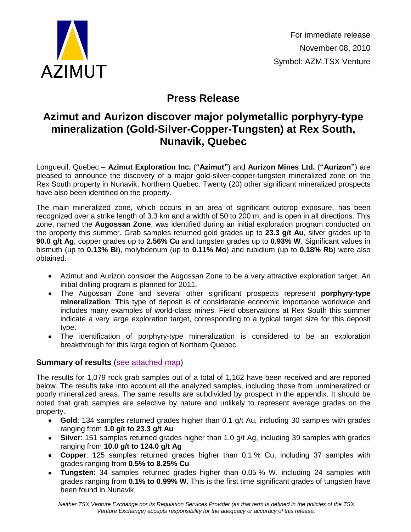

For immediate release November 08, 2010 Symbol: AZM.TSX Venture

# **Press Release**

# **Azimut and Aurizon discover major polymetallic porphyry-type mineralization (Gold-Silver-Copper-Tungsten) at Rex South, Nunavik, Quebec**

Longueuil, Quebec – **Azimut Exploration Inc.** (**"Azimut"**) and **Aurizon Mines Ltd.** (**"Aurizon"**) are pleased to announce the discovery of a major gold-silver-copper-tungsten mineralized zone on the Rex South property in Nunavik, Northern Quebec. Twenty (20) other significant mineralized prospects have also been identified on the property.

The main mineralized zone, which occurs in an area of significant outcrop exposure, has been recognized over a strike length of 3.3 km and a width of 50 to 200 m, and is open in all directions. This zone, named the **Augossan Zone**, was identified during an initial exploration program conducted on the property this summer. Grab samples returned gold grades up to **23.3 g/t Au**, silver grades up to **90.0 g/t Ag**, copper grades up to **2.56% Cu** and tungsten grades up to **0.93% W**. Significant values in bismuth (up to **0.13% Bi**), molybdenum (up to **0.11% Mo**) and rubidium (up to **0.18% Rb**) were also obtained.

- Azimut and Aurizon consider the Augossan Zone to be a very attractive exploration target. An initial drilling program is planned for 2011.
- The Augossan Zone and several other significant prospects represent **porphyry-type**   $\bullet$ **mineralization**. This type of deposit is of considerable economic importance worldwide and includes many examples of world-class mines. Field observations at Rex South this summer indicate a very large exploration target, corresponding to a typical target size for this deposit type.
- The identification of porphyry-type mineralization is considered to be an exploration breakthrough for this large region of Northern Quebec.

# **Summary of results** [\(see attached](http://www.azimut-exploration.com/en/presentations/AZM_ARZ_RexSouth_Prospects_2010.pdf) map)

The results for 1,079 rock grab samples out of a total of 1,162 have been received and are reported below. The results take into account all the analyzed samples, including those from unmineralized or poorly mineralized areas. The same results are subdivided by prospect in the appendix. It should be noted that grab samples are selective by nature and unlikely to represent average grades on the property.

- **Gold**: 134 samples returned grades higher than 0.1 g/t Au, including 30 samples with grades ranging from **1.0 g/t to 23.3 g/t Au**
- **Silver**: 151 samples returned grades higher than 1.0 g/t Ag, including 39 samples with grades ranging from **10.0 g/t to 124.0 g/t Ag**
- **Copper**: 125 samples returned grades higher than 0.1 % Cu, including 37 samples with grades ranging from **0.5% to 8.25% Cu**
- **Tungsten**: 34 samples returned grades higher than 0.05 % W, including 24 samples with grades ranging from **0.1% to 0.99% W**. This is the first time significant grades of tungsten have been found in Nunavik.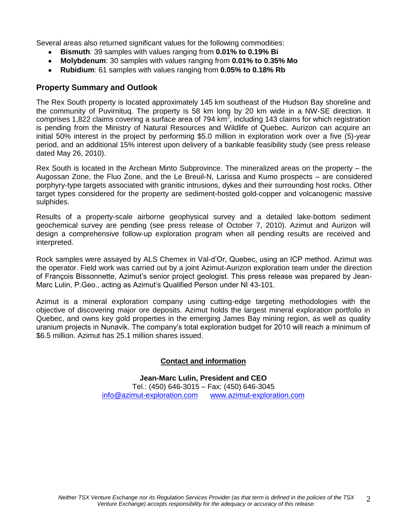Several areas also returned significant values for the following commodities:

- **Bismuth**: 39 samples with values ranging from **0.01% to 0.19% Bi**
- **Molybdenum**: 30 samples with values ranging from **0.01% to 0.35% Mo**  $\bullet$
- **Rubidium**: 61 samples with values ranging from **0.05% to 0.18% Rb**

### **Property Summary and Outlook**

The Rex South property is located approximately 145 km southeast of the Hudson Bay shoreline and the community of Puvirnituq. The property is 58 km long by 20 km wide in a NW-SE direction. It comprises 1,822 claims covering a surface area of 794 km<sup>2</sup>, including 143 claims for which registration is pending from the Ministry of Natural Resources and Wildlife of Quebec. Aurizon can acquire an initial 50% interest in the project by performing \$5.0 million in exploration work over a five (5)-year period, and an additional 15% interest upon delivery of a bankable feasibility study (see press release dated May 26, 2010).

Rex South is located in the Archean Minto Subprovince. The mineralized areas on the property – the Augossan Zone, the Fluo Zone, and the Le Breuil-N, Larissa and Kumo prospects – are considered porphyry-type targets associated with granitic intrusions, dykes and their surrounding host rocks. Other target types considered for the property are sediment-hosted gold-copper and volcanogenic massive sulphides.

Results of a property-scale airborne geophysical survey and a detailed lake-bottom sediment geochemical survey are pending (see press release of October 7, 2010). Azimut and Aurizon will design a comprehensive follow-up exploration program when all pending results are received and interpreted.

Rock samples were assayed by ALS Chemex in Val-d'Or, Quebec, using an ICP method. Azimut was the operator. Field work was carried out by a joint Azimut-Aurizon exploration team under the direction of François Bissonnette, Azimut's senior project geologist. This press release was prepared by Jean-Marc Lulin, P.Geo., acting as Azimut's Qualified Person under NI 43-101.

Azimut is a mineral exploration company using cutting-edge targeting methodologies with the objective of discovering major ore deposits. Azimut holds the largest mineral exploration portfolio in Quebec, and owns key gold properties in the emerging James Bay mining region, as well as quality uranium projects in Nunavik. The company's total exploration budget for 2010 will reach a minimum of \$6.5 million. Azimut has 25.1 million shares issued.

#### **Contact and information**

**Jean-Marc Lulin, President and CEO** Tel.: (450) 646-3015 – Fax: (450) 646-3045 [info@azimut-exploration.com](mailto:info@azimut-exploration.com) [www.azimut-exploration.com](http://www.azimut-exploration.com/)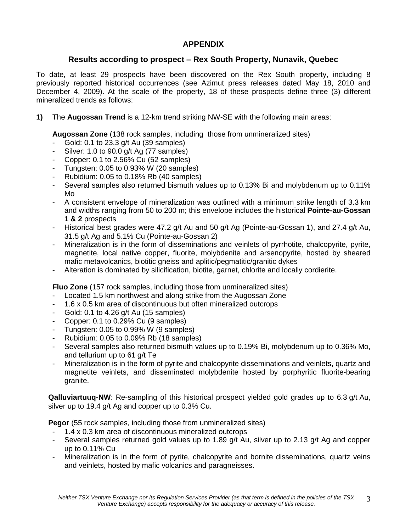## **APPENDIX**

## **Results according to prospect – Rex South Property, Nunavik, Quebec**

To date, at least 29 prospects have been discovered on the Rex South property, including 8 previously reported historical occurrences (see Azimut press releases dated May 18, 2010 and December 4, 2009). At the scale of the property, 18 of these prospects define three (3) different mineralized trends as follows:

**1)** The **Augossan Trend** is a 12-km trend striking NW-SE with the following main areas:

**Augossan Zone** (138 rock samples, including those from unmineralized sites)

- Gold: 0.1 to 23.3 g/t Au (39 samples)
- Silver: 1.0 to 90.0 g/t Ag (77 samples)
- Copper: 0.1 to 2.56% Cu (52 samples)
- Tungsten: 0.05 to 0.93% W (20 samples)
- Rubidium: 0.05 to 0.18% Rb (40 samples)
- Several samples also returned bismuth values up to 0.13% Bi and molybdenum up to 0.11% Mo
- A consistent envelope of mineralization was outlined with a minimum strike length of 3.3 km and widths ranging from 50 to 200 m; this envelope includes the historical **Pointe-au-Gossan 1 & 2** prospects
- Historical best grades were 47.2 g/t Au and 50 g/t Ag (Pointe-au-Gossan 1), and 27.4 g/t Au, 31.5 g/t Ag and 5.1% Cu (Pointe-au-Gossan 2)
- Mineralization is in the form of disseminations and veinlets of pyrrhotite, chalcopyrite, pyrite, magnetite, local native copper, fluorite, molybdenite and arsenopyrite, hosted by sheared mafic metavolcanics, biotitic gneiss and aplitic/pegmatitic/granitic dykes
- Alteration is dominated by silicification, biotite, garnet, chlorite and locally cordierite.

**Fluo Zone** (157 rock samples, including those from unmineralized sites)

- Located 1.5 km northwest and along strike from the Augossan Zone
- 1.6 x 0.5 km area of discontinuous but often mineralized outcrops
- Gold: 0.1 to 4.26 g/t Au (15 samples)
- Copper: 0.1 to 0.29% Cu (9 samples)
- Tungsten: 0.05 to 0.99% W (9 samples)
- Rubidium: 0.05 to 0.09% Rb (18 samples)
- Several samples also returned bismuth values up to 0.19% Bi, molybdenum up to 0.36% Mo, and tellurium up to 61 g/t Te
- Mineralization is in the form of pyrite and chalcopyrite disseminations and veinlets, quartz and magnetite veinlets, and disseminated molybdenite hosted by porphyritic fluorite-bearing granite.

**Qalluviartuuq-NW**: Re-sampling of this historical prospect yielded gold grades up to 6.3 g/t Au, silver up to 19.4 g/t Ag and copper up to 0.3% Cu.

**Pegor** (55 rock samples, including those from unmineralized sites)

- 1.4 x 0.3 km area of discontinuous mineralized outcrops
- Several samples returned gold values up to 1.89 g/t Au, silver up to 2.13 g/t Ag and copper up to 0.11% Cu
- Mineralization is in the form of pyrite, chalcopyrite and bornite disseminations, quartz veins and veinlets, hosted by mafic volcanics and paragneisses.